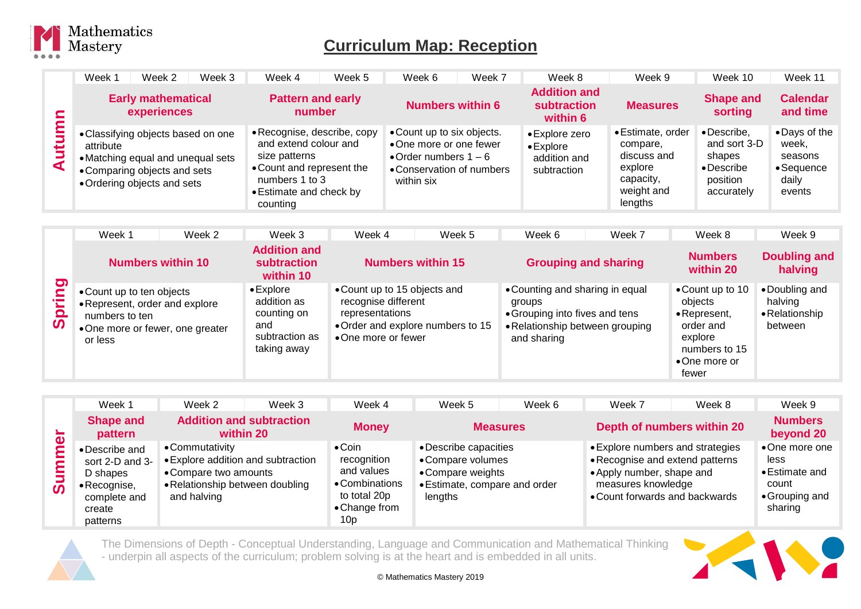

## **Curriculum Map: Reception**

|        | Week 1<br>Week 2                                                                                                                                                                                                       | Week 3                                                                                                                                 | Week 4                                          | Week 5                                                                                                                         | Week 6                                                                                                                     | Week 7                  |                                                                                                      | Week 8                                                | Week 9                                                                                        |                                                                                                              | Week 10                                                                       | Week 11                                                           |
|--------|------------------------------------------------------------------------------------------------------------------------------------------------------------------------------------------------------------------------|----------------------------------------------------------------------------------------------------------------------------------------|-------------------------------------------------|--------------------------------------------------------------------------------------------------------------------------------|----------------------------------------------------------------------------------------------------------------------------|-------------------------|------------------------------------------------------------------------------------------------------|-------------------------------------------------------|-----------------------------------------------------------------------------------------------|--------------------------------------------------------------------------------------------------------------|-------------------------------------------------------------------------------|-------------------------------------------------------------------|
|        | <b>Early mathematical</b><br>experiences                                                                                                                                                                               |                                                                                                                                        | <b>Pattern and early</b><br>number              |                                                                                                                                |                                                                                                                            | <b>Numbers within 6</b> |                                                                                                      | <b>Addition and</b><br><b>subtraction</b><br>within 6 | <b>Measures</b>                                                                               |                                                                                                              | <b>Shape and</b><br>sorting                                                   | <b>Calendar</b><br>and time                                       |
| Autumn | attribute                                                                                                                                                                                                              | • Classifying objects based on one<br>• Matching equal and unequal sets<br>• Comparing objects and sets<br>• Ordering objects and sets |                                                 | • Recognise, describe, copy<br>and extend colour and<br>. Count and represent the<br>numbers 1 to 3<br>• Estimate and check by | • Count up to six objects.<br>•One more or one fewer<br>• Order numbers $1 - 6$<br>• Conservation of numbers<br>within six |                         | • Explore zero<br>$\bullet$ Explore<br>addition and<br>subtraction                                   |                                                       | • Estimate, order<br>compare,<br>discuss and<br>explore<br>capacity,<br>weight and<br>lengths |                                                                                                              | • Describe,<br>and sort 3-D<br>shapes<br>• Describe<br>position<br>accurately | •Days of the<br>week,<br>seasons<br>• Sequence<br>daily<br>events |
|        |                                                                                                                                                                                                                        |                                                                                                                                        |                                                 |                                                                                                                                |                                                                                                                            |                         |                                                                                                      |                                                       |                                                                                               |                                                                                                              |                                                                               |                                                                   |
|        | Week 1                                                                                                                                                                                                                 | Week 2                                                                                                                                 | Week 3                                          | Week 4                                                                                                                         |                                                                                                                            | Week 5                  | Week 6                                                                                               |                                                       | Week 7                                                                                        |                                                                                                              | Week 8                                                                        | Week 9                                                            |
|        | <b>Numbers within 10</b>                                                                                                                                                                                               |                                                                                                                                        | <b>Addition and</b><br>subtraction<br>within 10 |                                                                                                                                | <b>Numbers within 15</b>                                                                                                   |                         |                                                                                                      | <b>Grouping and sharing</b>                           |                                                                                               |                                                                                                              | <b>Numbers</b><br>within 20                                                   | <b>Doubling and</b><br>halving                                    |
| Spring | $\bullet$ Explore<br>• Count up to ten objects<br>addition as<br>• Represent, order and explore<br>counting on<br>numbers to ten<br>and<br>•One more or fewer, one greater<br>subtraction as<br>or less<br>taking away |                                                                                                                                        | representations<br>•One more or fewer           | • Count up to 15 objects and<br>recognise different<br>•Order and explore numbers to 15                                        |                                                                                                                            | groups<br>and sharing   | • Counting and sharing in equal<br>• Grouping into fives and tens<br>• Relationship between grouping |                                                       | fewer                                                                                         | •Count up to 10<br>objects<br>• Represent,<br>order and<br>explore<br>numbers to 15<br>$\bullet$ One more or | •Doubling and<br>halving<br>• Relationship<br>between                         |                                                                   |

|                                                                                                           |                  |                                                                                                                                  |                                              |                                                                                                       | Week 5                                                                                                      | Week 6 | Week 7                                                                                                                                                   | Week 8                     | Week 9                                                                        |
|-----------------------------------------------------------------------------------------------------------|------------------|----------------------------------------------------------------------------------------------------------------------------------|----------------------------------------------|-------------------------------------------------------------------------------------------------------|-------------------------------------------------------------------------------------------------------------|--------|----------------------------------------------------------------------------------------------------------------------------------------------------------|----------------------------|-------------------------------------------------------------------------------|
| pattern<br>$\mathbf{a}$                                                                                   | <b>Shape and</b> |                                                                                                                                  | <b>Addition and subtraction</b><br>within 20 | <b>Money</b>                                                                                          | <b>Measures</b>                                                                                             |        |                                                                                                                                                          | Depth of numbers within 20 | <b>Numbers</b><br>beyond 20                                                   |
| • Describe and<br>D shapes<br>• Recognise,<br>$\boldsymbol{\omega}$<br>complete and<br>create<br>patterns | sort 2-D and 3-  | • Commutativity<br>• Explore addition and subtraction<br>• Compare two amounts<br>• Relationship between doubling<br>and halving |                                              | $\bullet$ Coin<br>recognition<br>and values<br>• Combinations<br>to total 20p<br>• Change from<br>10p | • Describe capacities<br>• Compare volumes<br>• Compare weights<br>• Estimate, compare and order<br>lengths |        | • Explore numbers and strategies<br>• Recognise and extend patterns<br>• Apply number, shape and<br>measures knowledge<br>• Count forwards and backwards |                            | •One more one<br>less<br>• Estimate and<br>count<br>• Grouping and<br>sharing |



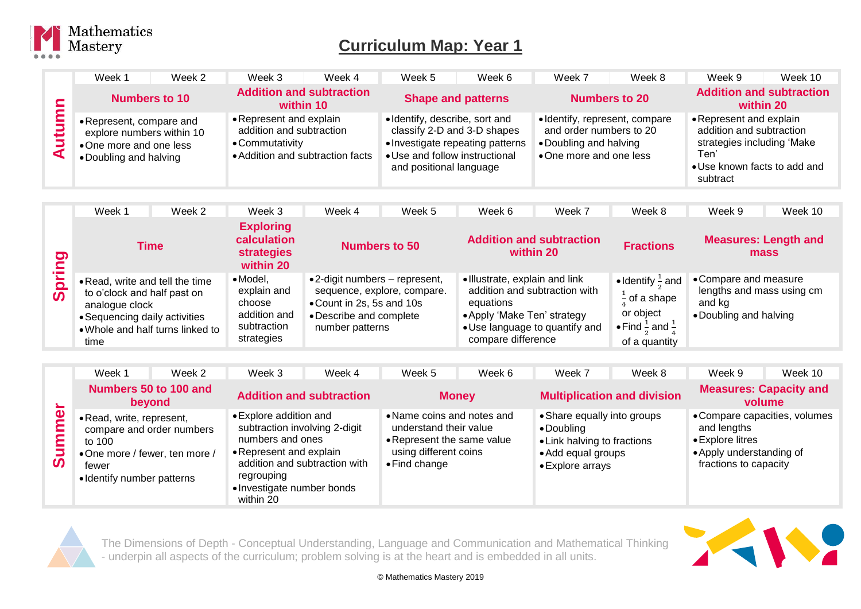

| <b>Numbers to 10</b>                                                                                      | <b>Addition and subtraction</b><br>within 10                                                               |                                                                                                                            | <b>Shape and patterns</b>        | <b>Numbers to 20</b>                                                                                          | <b>Addition and subtraction</b><br>within 20                                                                                         |  |
|-----------------------------------------------------------------------------------------------------------|------------------------------------------------------------------------------------------------------------|----------------------------------------------------------------------------------------------------------------------------|----------------------------------|---------------------------------------------------------------------------------------------------------------|--------------------------------------------------------------------------------------------------------------------------------------|--|
| • Represent, compare and<br>explore numbers within 10<br>•One more and one less<br>• Doubling and halving | • Represent and explain<br>addition and subtraction<br>• Commutativity<br>• Addition and subtraction facts | · Identify, describe, sort and<br>classify 2-D and 3-D shapes<br>• Use and follow instructional<br>and positional language | • Investigate repeating patterns | • Identify, represent, compare<br>and order numbers to 20<br>• Doubling and halving<br>•One more and one less | • Represent and explain<br>addition and subtraction<br>strategies including 'Make<br>Ten<br>• Use known facts to add and<br>subtract |  |

|                       | Week 1                                                                                                                                                        | Week 2 | Week 3                                                                                 | Week 4                                                                                                            | Week 5                      | Week 6                                                                                           | Week 7                                                          | Week 8                                                                                                                           | Week 9                                                                                 | Week 10                             |
|-----------------------|---------------------------------------------------------------------------------------------------------------------------------------------------------------|--------|----------------------------------------------------------------------------------------|-------------------------------------------------------------------------------------------------------------------|-----------------------------|--------------------------------------------------------------------------------------------------|-----------------------------------------------------------------|----------------------------------------------------------------------------------------------------------------------------------|----------------------------------------------------------------------------------------|-------------------------------------|
| ත                     | Time                                                                                                                                                          |        | <b>Exploring</b><br>calculation<br><b>strategies</b><br>within 20                      |                                                                                                                   | <b>Numbers to 50</b>        |                                                                                                  | <b>Addition and subtraction</b><br>within 20                    | <b>Fractions</b>                                                                                                                 |                                                                                        | <b>Measures: Length and</b><br>mass |
| $\boldsymbol{\omega}$ | . Read, write and tell the time<br>to o'clock and half past on<br>analogue clock<br>• Sequencing daily activities<br>. Whole and half turns linked to<br>time |        | $\bullet$ Model,<br>explain and<br>choose<br>addition and<br>subtraction<br>strategies | $\bullet$ 2-digit numbers – represent,<br>• Count in 2s, 5s and 10s<br>• Describe and complete<br>number patterns | sequence, explore, compare. | · Illustrate, explain and link<br>equations<br>• Apply 'Make Ten' strategy<br>compare difference | addition and subtraction with<br>• Use language to quantify and | • Identify $\frac{1}{2}$ and<br>$\frac{1}{2}$ of a shape<br>or object<br>• Find $\frac{1}{2}$ and $\frac{1}{2}$<br>of a quantity | • Compare and measure<br>lengths and mass using cm<br>and ka<br>• Doubling and halving |                                     |

|                                           | Week 1                                                                                                                                   | Week 2                | Week 3                                                                                                                                                                                           | Week 4 | Week 5                                                                                                                               | Week 6       | Week 7                                                                                                             | Week 8                             | Week 9                                                                               | Week 10                                 |
|-------------------------------------------|------------------------------------------------------------------------------------------------------------------------------------------|-----------------------|--------------------------------------------------------------------------------------------------------------------------------------------------------------------------------------------------|--------|--------------------------------------------------------------------------------------------------------------------------------------|--------------|--------------------------------------------------------------------------------------------------------------------|------------------------------------|--------------------------------------------------------------------------------------|-----------------------------------------|
|                                           | beyond                                                                                                                                   | Numbers 50 to 100 and | <b>Addition and subtraction</b>                                                                                                                                                                  |        |                                                                                                                                      | <b>Money</b> |                                                                                                                    | <b>Multiplication and division</b> |                                                                                      | <b>Measures: Capacity and</b><br>volume |
| $\overline{\mathbf{a}}$<br>⊨<br>$\bar{v}$ | • Read, write, represent,<br>compare and order numbers<br>to 100<br>•One more / fewer, ten more /<br>fewer<br>• Identify number patterns |                       | • Explore addition and<br>subtraction involving 2-digit<br>numbers and ones<br>• Represent and explain<br>addition and subtraction with<br>regrouping<br>• Investigate number bonds<br>within 20 |        | • Name coins and notes and<br>understand their value<br>• Represent the same value<br>using different coins<br>$\bullet$ Find change |              | • Share equally into groups<br>• Doubling<br>• Link halving to fractions<br>• Add equal groups<br>• Explore arrays |                                    | and lengths<br>• Explore litres<br>• Apply understanding of<br>fractions to capacity | • Compare capacities, volumes           |



The Dimensions of Depth - Conceptual Understanding, Language and Communication and Mathematical Thinking - underpin all aspects of the curriculum; problem solving is at the heart and is embedded in all units.

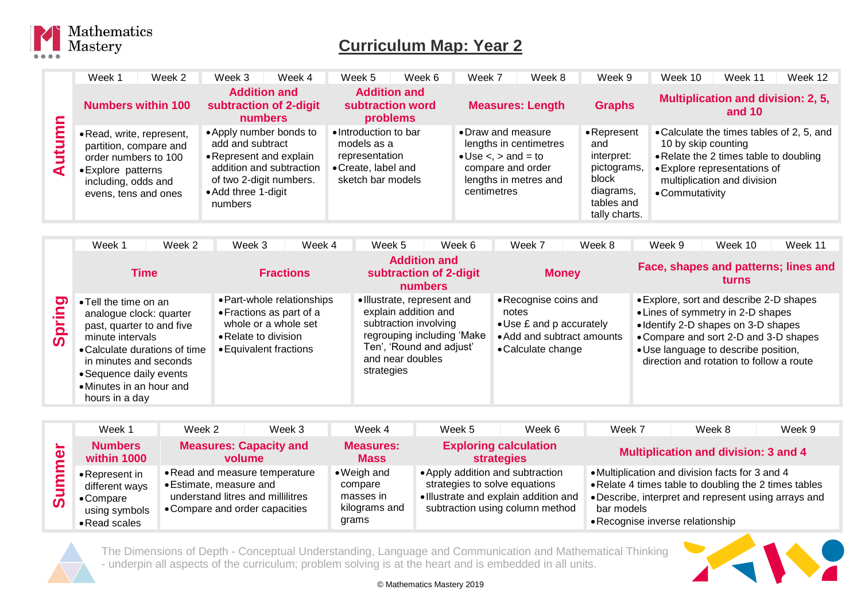

|                           | Week 1                                                                                                                                                                                                                                | Week 2 | Week 3                                                                                                                                                          | Week 4           | Week 5                                                                                             | Week 6                                                                                                                                                     | Week 7                                                     |                                                                                                                | Week 8                                                               | Week 9                                                                                               | Week 10         | Week 11                                                                                                                                                                                                                                          | Week 12                              |
|---------------------------|---------------------------------------------------------------------------------------------------------------------------------------------------------------------------------------------------------------------------------------|--------|-----------------------------------------------------------------------------------------------------------------------------------------------------------------|------------------|----------------------------------------------------------------------------------------------------|------------------------------------------------------------------------------------------------------------------------------------------------------------|------------------------------------------------------------|----------------------------------------------------------------------------------------------------------------|----------------------------------------------------------------------|------------------------------------------------------------------------------------------------------|-----------------|--------------------------------------------------------------------------------------------------------------------------------------------------------------------------------------------------------------------------------------------------|--------------------------------------|
|                           | <b>Numbers within 100</b>                                                                                                                                                                                                             |        | <b>Addition and</b><br>subtraction of 2-digit<br>numbers                                                                                                        |                  |                                                                                                    | <b>Addition and</b><br>subtraction word<br>problems                                                                                                        |                                                            |                                                                                                                | <b>Measures: Length</b>                                              | <b>Graphs</b>                                                                                        |                 | Multiplication and division: 2, 5,<br>and $10$                                                                                                                                                                                                   |                                      |
| Autumn                    | · Read, write, represent,<br>partition, compare and<br>order numbers to 100<br>• Explore patterns<br>including, odds and<br>evens, tens and ones                                                                                      |        | • Apply number bonds to<br>add and subtract<br>• Represent and explain<br>addition and subtraction<br>of two 2-digit numbers.<br>• Add three 1-digit<br>numbers |                  | • Introduction to bar<br>models as a<br>representation<br>• Create, label and<br>sketch bar models |                                                                                                                                                            | • Draw and measure<br>$\bullet$ Use $\lt$ , $>$ and $=$ to | centimetres                                                                                                    | lengths in centimetres<br>compare and order<br>lengths in metres and | • Represent<br>and<br>interpret:<br>pictograms,<br>block<br>diagrams,<br>tables and<br>tally charts. | • Commutativity | • Calculate the times tables of 2, 5, and<br>10 by skip counting<br>. Relate the 2 times table to doubling<br>• Explore representations of<br>multiplication and division                                                                        |                                      |
|                           |                                                                                                                                                                                                                                       |        |                                                                                                                                                                 |                  |                                                                                                    |                                                                                                                                                            |                                                            |                                                                                                                |                                                                      |                                                                                                      |                 |                                                                                                                                                                                                                                                  |                                      |
|                           | Week 1                                                                                                                                                                                                                                | Week 2 | Week 3                                                                                                                                                          | Week 4           | Week 5                                                                                             |                                                                                                                                                            | Week 6                                                     |                                                                                                                | Week 7                                                               | Week 8                                                                                               | Week 9          | Week 10                                                                                                                                                                                                                                          | Week 11                              |
|                           | <b>Time</b>                                                                                                                                                                                                                           |        |                                                                                                                                                                 | <b>Fractions</b> |                                                                                                    | <b>Addition and</b><br>subtraction of 2-digit<br>numbers                                                                                                   |                                                            |                                                                                                                | <b>Money</b>                                                         |                                                                                                      |                 | turns                                                                                                                                                                                                                                            | Face, shapes and patterns; lines and |
| <u>ත</u><br><b>Spring</b> | • Tell the time on an<br>analogue clock: quarter<br>past, quarter to and five<br>minute intervals<br>• Calculate durations of time<br>in minutes and seconds<br>• Sequence daily events<br>• Minutes in an hour and<br>hours in a day |        | • Part-whole relationships<br>• Fractions as part of a<br>whole or a whole set<br>• Relate to division<br>• Equivalent fractions                                |                  | strategies                                                                                         | • Illustrate, represent and<br>explain addition and<br>subtraction involving<br>regrouping including 'Make<br>Ten', 'Round and adjust'<br>and near doubles |                                                            | • Recognise coins and<br>notes<br>• Use £ and p accurately<br>• Add and subtract amounts<br>• Calculate change |                                                                      |                                                                                                      |                 | • Explore, sort and describe 2-D shapes<br>• Lines of symmetry in 2-D shapes<br>• Identify 2-D shapes on 3-D shapes<br>• Compare and sort 2-D and 3-D shapes<br>• Use language to describe position,<br>direction and rotation to follow a route |                                      |

|             | Week 1                                                                                  | Week 2                                                                                                                           | Week 3                                  | Week 4                                                        | Week 5                                                                                                     | Week 6                          | Week 7                                         | Week 8                                                                                                                                                           | Week 9 |
|-------------|-----------------------------------------------------------------------------------------|----------------------------------------------------------------------------------------------------------------------------------|-----------------------------------------|---------------------------------------------------------------|------------------------------------------------------------------------------------------------------------|---------------------------------|------------------------------------------------|------------------------------------------------------------------------------------------------------------------------------------------------------------------|--------|
| $\sim$<br>Φ | <b>Numbers</b><br>within 1000                                                           |                                                                                                                                  | <b>Measures: Capacity and</b><br>volume | <b>Measures:</b><br><b>Mass</b>                               | <b>strategies</b>                                                                                          | <b>Exploring calculation</b>    |                                                | <b>Multiplication and division: 3 and 4</b>                                                                                                                      |        |
| $\bar{c}$   | • Represent in<br>different ways<br>$\bullet$ Compare<br>using symbols<br>• Read scales | • Read and measure temperature<br>• Estimate, measure and<br>understand litres and millilitres<br>• Compare and order capacities |                                         | • Weigh and<br>compare<br>masses in<br>kilograms and<br>grams | • Apply addition and subtraction<br>strategies to solve equations<br>· Illustrate and explain addition and | subtraction using column method | bar models<br>• Recognise inverse relationship | • Multiplication and division facts for 3 and 4<br>• Relate 4 times table to doubling the 2 times tables<br>• Describe, interpret and represent using arrays and |        |



L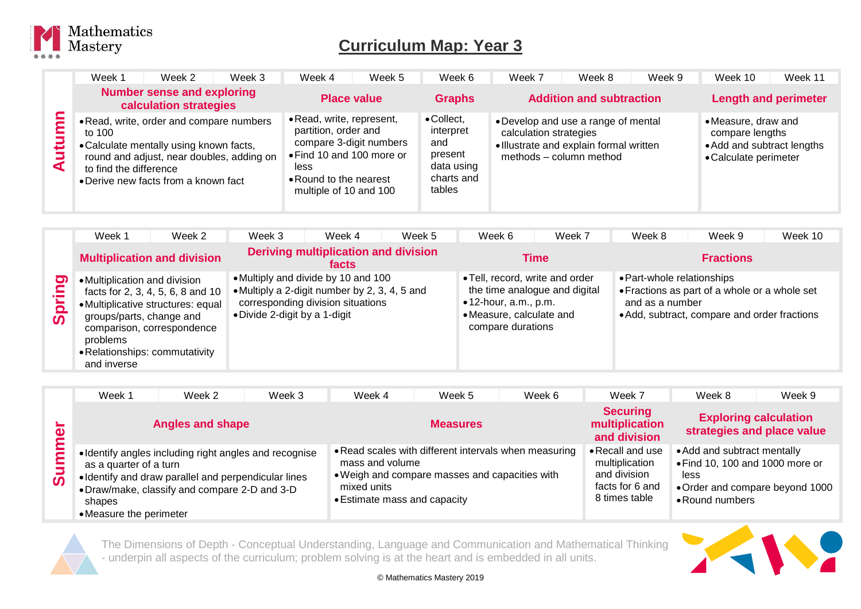

|          | Week 1<br>Week 3<br>Week 2                                                                                                                                                                                   | Week 4<br>Week 5                                                                                                                                                      | Week 6                                                                          | Week 9<br>Week 7<br>Week 8                                                                                                          | Week 11<br>Week 10                                                                            |
|----------|--------------------------------------------------------------------------------------------------------------------------------------------------------------------------------------------------------------|-----------------------------------------------------------------------------------------------------------------------------------------------------------------------|---------------------------------------------------------------------------------|-------------------------------------------------------------------------------------------------------------------------------------|-----------------------------------------------------------------------------------------------|
|          | <b>Number sense and exploring</b><br>calculation strategies                                                                                                                                                  | <b>Place value</b>                                                                                                                                                    | <b>Graphs</b>                                                                   | <b>Addition and subtraction</b>                                                                                                     | <b>Length and perimeter</b>                                                                   |
| تتت<br>◀ | . Read, write, order and compare numbers<br>to 100<br>• Calculate mentally using known facts,<br>round and adjust, near doubles, adding on<br>to find the difference<br>• Derive new facts from a known fact | • Read, write, represent,<br>partition, order and<br>compare 3-digit numbers<br>• Find 10 and 100 more or<br>less<br>• Round to the nearest<br>multiple of 10 and 100 | • Collect,<br>interpret<br>and<br>present<br>data using<br>charts and<br>tables | • Develop and use a range of mental<br>calculation strategies<br>· Illustrate and explain formal written<br>methods - column method | • Measure, draw and<br>compare lengths<br>• Add and subtract lengths<br>• Calculate perimeter |

|                                 | Week 1                                                                                                                 | Week 2                                                                                                | Week 3                                                                                                                | Week 4                                        | Week 5 | Week 6                                                                                                            | Week 7                        | Week 8                                        | Week 9                                                                                        | Week 10 |
|---------------------------------|------------------------------------------------------------------------------------------------------------------------|-------------------------------------------------------------------------------------------------------|-----------------------------------------------------------------------------------------------------------------------|-----------------------------------------------|--------|-------------------------------------------------------------------------------------------------------------------|-------------------------------|-----------------------------------------------|-----------------------------------------------------------------------------------------------|---------|
|                                 |                                                                                                                        | <b>Multiplication and division</b>                                                                    |                                                                                                                       | Deriving multiplication and division<br>facts |        |                                                                                                                   | Time                          |                                               | <b>Fractions</b>                                                                              |         |
| ත<br>$\Omega$<br>$\overline{0}$ | • Multiplication and division<br>groups/parts, change and<br>problems<br>• Relationships: commutativity<br>and inverse | facts for 2, 3, 4, 5, 6, 8 and 10<br>• Multiplicative structures: equal<br>comparison, correspondence | • Multiply and divide by 10 and 100<br>• Multiply a 2-digit number by 2, 3, 4, 5 and<br>• Divide 2-digit by a 1-digit | corresponding division situations             |        | • Tell, record, write and order<br>$\bullet$ 12-hour, a.m., p.m.<br>• Measure, calculate and<br>compare durations | the time analogue and digital | • Part-whole relationships<br>and as a number | • Fractions as part of a whole or a whole set<br>• Add, subtract, compare and order fractions |         |

|                                                     | Week 1                                                      | Week 2                                                                                                                                                         | Week 3 | Week 4                                                         | Week 5                                                                                                  | Week 6 | Week 7                                                                                 | Week 8                                                                                                                       | Week 9                                                     |
|-----------------------------------------------------|-------------------------------------------------------------|----------------------------------------------------------------------------------------------------------------------------------------------------------------|--------|----------------------------------------------------------------|---------------------------------------------------------------------------------------------------------|--------|----------------------------------------------------------------------------------------|------------------------------------------------------------------------------------------------------------------------------|------------------------------------------------------------|
| $\overline{\phantom{a}}$<br>$\overline{\mathbf{C}}$ |                                                             | <b>Angles and shape</b>                                                                                                                                        |        |                                                                | <b>Measures</b>                                                                                         |        | <b>Securing</b><br>multiplication<br>and division                                      |                                                                                                                              | <b>Exploring calculation</b><br>strategies and place value |
| ٤<br>Sum                                            | as a quarter of a turn<br>shapes<br>• Measure the perimeter | · Identify angles including right angles and recognise<br>• Identify and draw parallel and perpendicular lines<br>•Draw/make, classify and compare 2-D and 3-D |        | mass and volume<br>mixed units<br>• Estimate mass and capacity | • Read scales with different intervals when measuring<br>. Weigh and compare masses and capacities with |        | • Recall and use<br>multiplication<br>and division<br>facts for 6 and<br>8 times table | • Add and subtract mentally<br>• Find 10, 100 and 1000 more or<br>less<br>. Order and compare beyond 1000<br>• Round numbers |                                                            |



The Dimensions of Depth - Conceptual Understanding, Language and Communication and Mathematical Thinking - underpin all aspects of the curriculum; problem solving is at the heart and is embedded in all units.

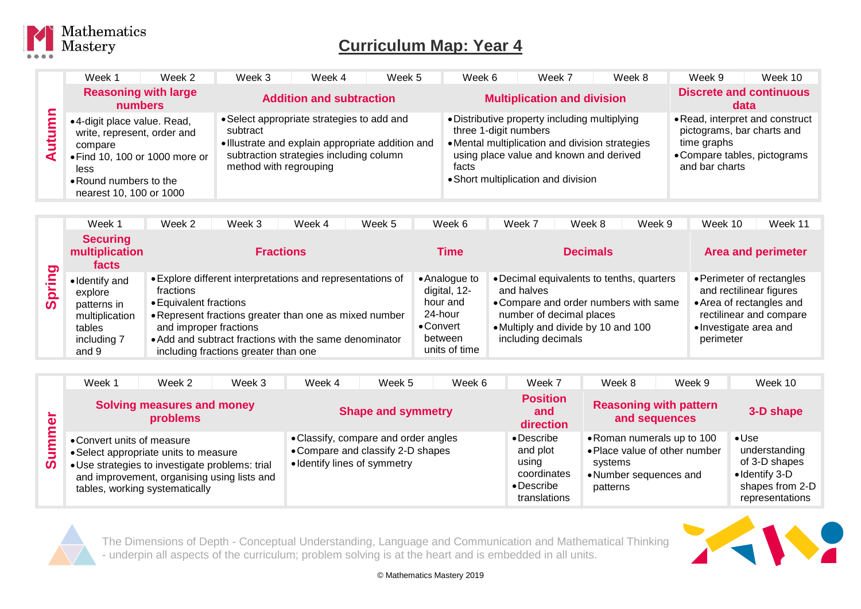

|               | Week 1                                                                                                                             | Week 2                                 | Week 3                                                                                                                                                                           | Week 4                          | Week 5 | Week 6                                                                                                                                                                    | Week 7                                  | Week 8 | Week 9                        | Week 10                                                                                       |
|---------------|------------------------------------------------------------------------------------------------------------------------------------|----------------------------------------|----------------------------------------------------------------------------------------------------------------------------------------------------------------------------------|---------------------------------|--------|---------------------------------------------------------------------------------------------------------------------------------------------------------------------------|-----------------------------------------|--------|-------------------------------|-----------------------------------------------------------------------------------------------|
|               |                                                                                                                                    | <b>Reasoning with large</b><br>numbers |                                                                                                                                                                                  | <b>Addition and subtraction</b> |        |                                                                                                                                                                           | <b>Multiplication and division</b>      |        |                               | <b>Discrete and continuous</b><br>data                                                        |
| umn<br>Ē<br>⋖ | •4-digit place value. Read,<br>write, represent, order and<br>compare<br>less<br>• Round numbers to the<br>nearest 10, 100 or 1000 | • Find 10, 100 or 1000 more or         | • Select appropriate strategies to add and<br>subtract<br>· Illustrate and explain appropriate addition and<br>subtraction strategies including column<br>method with regrouping |                                 |        | • Distributive property including multiplying<br>three 1-digit numbers<br>• Mental multiplication and division strategies<br>facts<br>• Short multiplication and division | using place value and known and derived |        | time graphs<br>and bar charts | • Read, interpret and construct<br>pictograms, bar charts and<br>• Compare tables, pictograms |

|                                   | Week 1                                                                                       | Week 2                                                        | Week 3                               | Week 4                                                                                                                                                                         | Week 5 | Week 6                                                                                        | Week 7                           | Week 8                                                                                                                                                | Week 9 | Week 10                                                                                                                                            | Week 11 |
|-----------------------------------|----------------------------------------------------------------------------------------------|---------------------------------------------------------------|--------------------------------------|--------------------------------------------------------------------------------------------------------------------------------------------------------------------------------|--------|-----------------------------------------------------------------------------------------------|----------------------------------|-------------------------------------------------------------------------------------------------------------------------------------------------------|--------|----------------------------------------------------------------------------------------------------------------------------------------------------|---------|
| တ                                 | <b>Securing</b><br>multiplication<br>facts                                                   |                                                               |                                      | <b>Fractions</b>                                                                                                                                                               |        | Time                                                                                          |                                  | <b>Decimals</b>                                                                                                                                       |        | <b>Area and perimeter</b>                                                                                                                          |         |
| $\Omega$<br>$\boldsymbol{\omega}$ | • Identify and<br>explore<br>patterns in<br>multiplication<br>tables<br>including 7<br>and 9 | fractions<br>• Equivalent fractions<br>and improper fractions | including fractions greater than one | • Explore different interpretations and representations of<br>• Represent fractions greater than one as mixed number<br>• Add and subtract fractions with the same denominator |        | • Analogue to<br>digital, 12-<br>hour and<br>24-hour<br>• Convert<br>between<br>units of time | and halves<br>including decimals | • Decimal equivalents to tenths, quarters<br>• Compare and order numbers with same<br>number of decimal places<br>• Multiply and divide by 10 and 100 |        | • Perimeter of rectangles<br>and rectilinear figures<br>• Area of rectangles and<br>rectilinear and compare<br>• Investigate area and<br>perimeter |         |

| Φ<br>Ξ<br>Б<br>ທ | Week 1                                                                                                                                                                                                  | Week 2 | Week 3 | Week 4                                                                                                    | Week 5 | Week 6 | Week 7                                                                                       | Week 8                                                                                                       | Week 9 | Week 10                                                                                                 |
|------------------|---------------------------------------------------------------------------------------------------------------------------------------------------------------------------------------------------------|--------|--------|-----------------------------------------------------------------------------------------------------------|--------|--------|----------------------------------------------------------------------------------------------|--------------------------------------------------------------------------------------------------------------|--------|---------------------------------------------------------------------------------------------------------|
|                  | <b>Solving measures and money</b><br>problems                                                                                                                                                           |        |        | <b>Shape and symmetry</b>                                                                                 |        |        | <b>Position</b><br>and<br>direction                                                          | <b>Reasoning with pattern</b><br>and sequences                                                               |        | 3-D shape                                                                                               |
|                  | • Convert units of measure<br>• Select appropriate units to measure<br>• Use strategies to investigate problems: trial<br>and improvement, organising using lists and<br>tables, working systematically |        |        | • Classify, compare and order angles<br>• Compare and classify 2-D shapes<br>• Identify lines of symmetry |        |        | $\bullet$ Describe<br>and plot<br>using<br>coordinates<br>$\bullet$ Describe<br>translations | • Roman numerals up to 100<br>• Place value of other number<br>systems<br>• Number sequences and<br>patterns |        | $\bullet$ Use<br>understanding<br>of 3-D shapes<br>• Identify 3-D<br>shapes from 2-D<br>representations |



The Dimensions of Depth - Conceptual Understanding, Language and Communication and Mathematical Thinking - underpin all aspects of the curriculum; problem solving is at the heart and is embedded in all units.

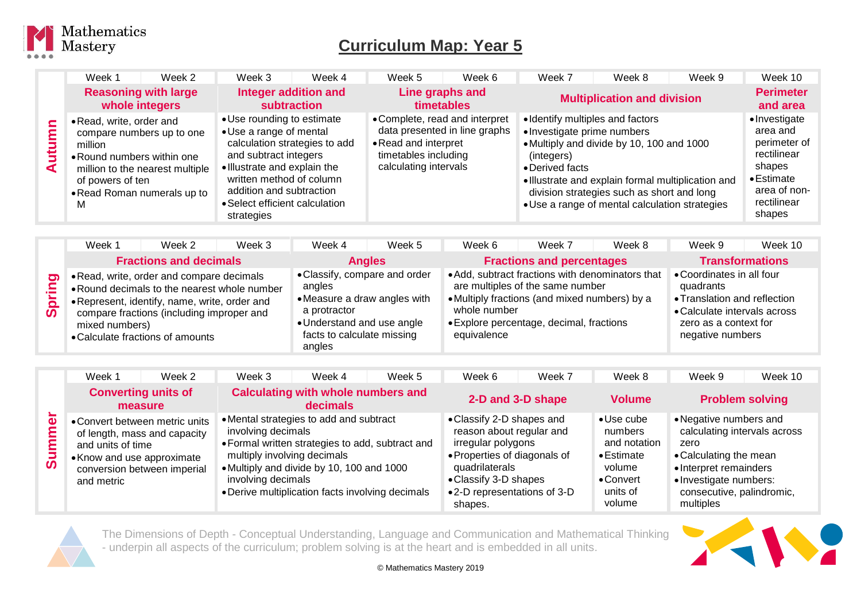

|                         | Week 1                                                                                     | Week 2                                                                                      | Week 3                                                                                                                                                                                                                 | Week 4                        | Week 5                                                                | Week 6                                                          | Week 7                                                                                           | Week 8                                                                                                                                                                                          | Week 9 | Week 10                                                                                                                           |
|-------------------------|--------------------------------------------------------------------------------------------|---------------------------------------------------------------------------------------------|------------------------------------------------------------------------------------------------------------------------------------------------------------------------------------------------------------------------|-------------------------------|-----------------------------------------------------------------------|-----------------------------------------------------------------|--------------------------------------------------------------------------------------------------|-------------------------------------------------------------------------------------------------------------------------------------------------------------------------------------------------|--------|-----------------------------------------------------------------------------------------------------------------------------------|
|                         | <b>Reasoning with large</b><br>whole integers                                              |                                                                                             | Integer addition and<br><b>subtraction</b>                                                                                                                                                                             |                               | Line graphs and<br><b>timetables</b>                                  |                                                                 | <b>Multiplication and division</b>                                                               |                                                                                                                                                                                                 |        | <b>Perimeter</b><br>and area                                                                                                      |
| <b>S</b><br>٤<br>5<br>⋖ | • Read, write, order and<br>million<br>• Round numbers within one<br>of powers of ten<br>м | compare numbers up to one<br>million to the nearest multiple<br>• Read Roman numerals up to | • Use rounding to estimate<br>• Use a range of mental<br>and subtract integers<br>• Illustrate and explain the<br>written method of column<br>addition and subtraction<br>• Select efficient calculation<br>strategies | calculation strategies to add | • Read and interpret<br>timetables including<br>calculating intervals | • Complete, read and interpret<br>data presented in line graphs | • Identify multiples and factors<br>• Investigate prime numbers<br>(integers)<br>• Derived facts | • Multiply and divide by 10, 100 and 1000<br>· Illustrate and explain formal multiplication and<br>division strategies such as short and long<br>• Use a range of mental calculation strategies |        | • Investigate<br>area and<br>perimeter of<br>rectilinear<br>shapes<br>$\bullet$ Estimate<br>area of non-<br>rectilinear<br>shapes |

|                                                                | Week 1                                                                                                                                                                                           | Week 2                                    | Week 3 | Week 4                                                                                                                                                        | Week 5 | Week 6                           | Week 7                                                                                                                                                                            | Week 8 | Week 9                                                                                                                                              | Week 10 |
|----------------------------------------------------------------|--------------------------------------------------------------------------------------------------------------------------------------------------------------------------------------------------|-------------------------------------------|--------|---------------------------------------------------------------------------------------------------------------------------------------------------------------|--------|----------------------------------|-----------------------------------------------------------------------------------------------------------------------------------------------------------------------------------|--------|-----------------------------------------------------------------------------------------------------------------------------------------------------|---------|
|                                                                | <b>Fractions and decimals</b>                                                                                                                                                                    |                                           |        | <b>Angles</b>                                                                                                                                                 |        | <b>Fractions and percentages</b> |                                                                                                                                                                                   |        | <b>Transformations</b>                                                                                                                              |         |
| <u> တ ၊</u><br>르.<br>$\overline{\mathbf{o}}$<br>$\overline{0}$ | • Read, write, order and compare decimals<br>. Round decimals to the nearest whole number<br>• Represent, identify, name, write, order and<br>mixed numbers)<br>• Calculate fractions of amounts | compare fractions (including improper and |        | • Classify, compare and order<br>angles<br>• Measure a draw angles with<br>a protractor<br>• Understand and use angle<br>facts to calculate missing<br>angles |        | whole number<br>equivalence      | • Add, subtract fractions with denominators that<br>are multiples of the same number<br>• Multiply fractions (and mixed numbers) by a<br>• Explore percentage, decimal, fractions |        | • Coordinates in all four<br>quadrants<br>• Translation and reflection<br>• Calculate intervals across<br>zero as a context for<br>negative numbers |         |

|                   | Week 1                                                        | Week 2                                                                                        | Week 3                                                                  | Week 4                                                                                                                                                                                       | Week 5 | Week 6                                                                                                                                                                                           | Week 7 | Week 8                                                                                                                   | Week 9                                                                                                                                                                                 | Week 10 |
|-------------------|---------------------------------------------------------------|-----------------------------------------------------------------------------------------------|-------------------------------------------------------------------------|----------------------------------------------------------------------------------------------------------------------------------------------------------------------------------------------|--------|--------------------------------------------------------------------------------------------------------------------------------------------------------------------------------------------------|--------|--------------------------------------------------------------------------------------------------------------------------|----------------------------------------------------------------------------------------------------------------------------------------------------------------------------------------|---------|
|                   | <b>Converting units of</b><br>measure                         |                                                                                               | <b>Calculating with whole numbers and</b><br>decimals                   |                                                                                                                                                                                              |        | 2-D and 3-D shape                                                                                                                                                                                |        | <b>Volume</b>                                                                                                            | <b>Problem solving</b>                                                                                                                                                                 |         |
| ă<br>ε<br>٤<br>မြ | and units of time<br>• Know and use approximate<br>and metric | • Convert between metric units<br>of length, mass and capacity<br>conversion between imperial | involving decimals<br>multiply involving decimals<br>involving decimals | • Mental strategies to add and subtract<br>• Formal written strategies to add, subtract and<br>• Multiply and divide by 10, 100 and 1000<br>• Derive multiplication facts involving decimals |        | • Classify 2-D shapes and<br>reason about regular and<br>irregular polygons<br>• Properties of diagonals of<br>quadrilaterals<br>• Classify 3-D shapes<br>•2-D representations of 3-D<br>shapes. |        | $\bullet$ Use cube<br>numbers<br>and notation<br>$\bullet$ Estimate<br>volume<br>$\bullet$ Convert<br>units of<br>volume | • Negative numbers and<br>calculating intervals across<br>zero<br>• Calculating the mean<br>• Interpret remainders<br>• Investigate numbers:<br>consecutive, palindromic,<br>multiples |         |



The Dimensions of Depth - Conceptual Understanding, Language and Communication and Mathematical Thinking - underpin all aspects of the curriculum; problem solving is at the heart and is embedded in all units.